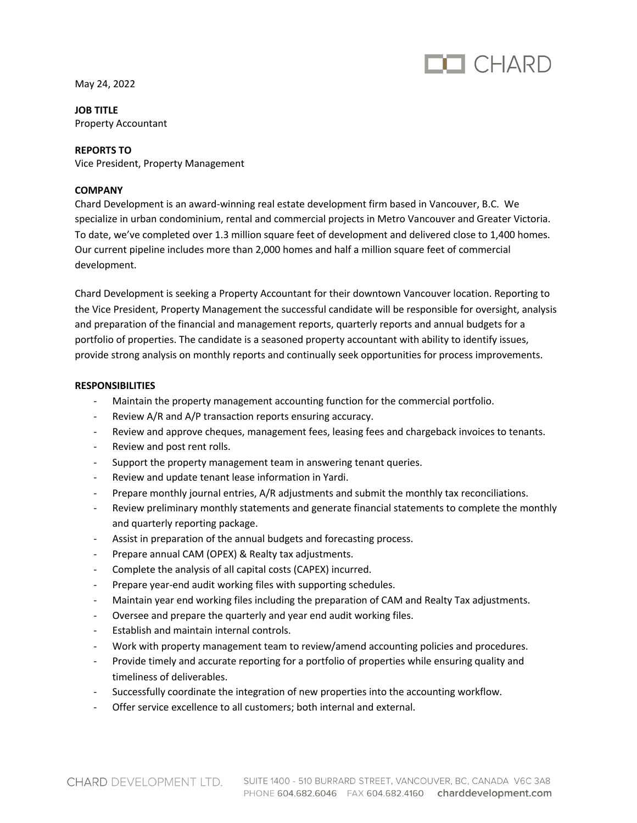

May 24, 2022

**JOB TITLE** Property Accountant

## **REPORTS TO**

Vice President, Property Management

## **COMPANY**

Chard Development is an award-winning real estate development firm based in Vancouver, B.C. We specialize in urban condominium, rental and commercial projects in Metro Vancouver and Greater Victoria. To date, we've completed over 1.3 million square feet of development and delivered close to 1,400 homes. Our current pipeline includes more than 2,000 homes and half a million square feet of commercial development.

Chard Development is seeking a Property Accountant for their downtown Vancouver location. Reporting to the Vice President, Property Management the successful candidate will be responsible for oversight, analysis and preparation of the financial and management reports, quarterly reports and annual budgets for a portfolio of properties. The candidate is a seasoned property accountant with ability to identify issues, provide strong analysis on monthly reports and continually seek opportunities for process improvements.

## **RESPONSIBILITIES**

- Maintain the property management accounting function for the commercial portfolio.
- Review A/R and A/P transaction reports ensuring accuracy.
- Review and approve cheques, management fees, leasing fees and chargeback invoices to tenants.
- Review and post rent rolls.
- Support the property management team in answering tenant queries.
- Review and update tenant lease information in Yardi.
- Prepare monthly journal entries, A/R adjustments and submit the monthly tax reconciliations.
- Review preliminary monthly statements and generate financial statements to complete the monthly and quarterly reporting package.
- Assist in preparation of the annual budgets and forecasting process.
- Prepare annual CAM (OPEX) & Realty tax adjustments.
- Complete the analysis of all capital costs (CAPEX) incurred.
- Prepare year-end audit working files with supporting schedules.
- Maintain year end working files including the preparation of CAM and Realty Tax adjustments.
- Oversee and prepare the quarterly and year end audit working files.
- Establish and maintain internal controls.
- Work with property management team to review/amend accounting policies and procedures.
- Provide timely and accurate reporting for a portfolio of properties while ensuring quality and timeliness of deliverables.
- Successfully coordinate the integration of new properties into the accounting workflow.
- Offer service excellence to all customers; both internal and external.